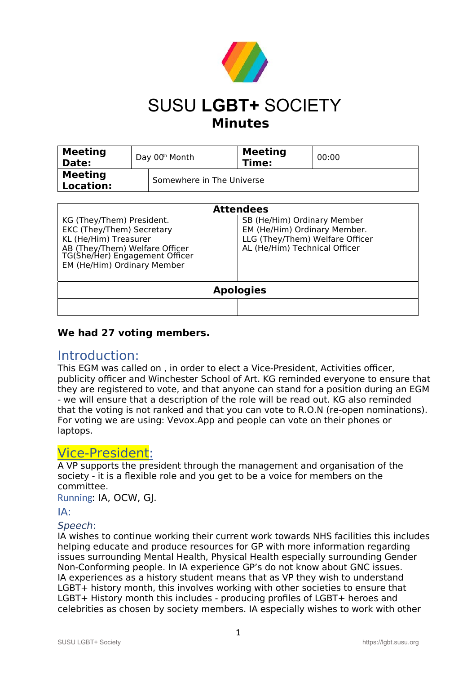

## SUSU **LGBT+** SOCIETY **Minutes**

| <b>Meeting</b><br>Date:            | Day 00 <sup>th</sup> Month | <b>Meeting</b><br>Time: | 00:00 |
|------------------------------------|----------------------------|-------------------------|-------|
| <b>Meeting</b><br><b>Location:</b> | Somewhere in The Universe  |                         |       |

| <b>Attendees</b>                                                                                                                                                                   |                                                                                                                                 |  |  |  |
|------------------------------------------------------------------------------------------------------------------------------------------------------------------------------------|---------------------------------------------------------------------------------------------------------------------------------|--|--|--|
| KG (They/Them) President.<br>EKC (They/Them) Secretary<br>KL (He/Him) Treasurer<br>AB (They/Them) Welfare Officer<br>TG(She/Her) Engagement Officer<br>EM (He/Him) Ordinary Member | SB (He/Him) Ordinary Member<br>EM (He/Him) Ordinary Member.<br>LLG (They/Them) Welfare Officer<br>AL (He/Him) Technical Officer |  |  |  |
| <b>Apologies</b>                                                                                                                                                                   |                                                                                                                                 |  |  |  |
|                                                                                                                                                                                    |                                                                                                                                 |  |  |  |

## **We had 27 voting members.**

## Introduction:

This EGM was called on , in order to elect a Vice-President, Activities officer, publicity officer and Winchester School of Art. KG reminded everyone to ensure that they are registered to vote, and that anyone can stand for a position during an EGM - we will ensure that a description of the role will be read out. KG also reminded that the voting is not ranked and that you can vote to R.O.N (re-open nominations). For voting we are using: Vevox.App and people can vote on their phones or laptops.

## Vice-President:

A VP supports the president through the management and organisation of the society - it is a flexible role and you get to be a voice for members on the committee.

Running: IA, OCW, GJ.

## IA:

## Speech:

IA wishes to continue working their current work towards NHS facilities this includes helping educate and produce resources for GP with more information regarding issues surrounding Mental Health, Physical Health especially surrounding Gender Non-Conforming people. In IA experience GP's do not know about GNC issues. IA experiences as a history student means that as VP they wish to understand LGBT+ history month, this involves working with other societies to ensure that LGBT+ History month this includes - producing profiles of LGBT+ heroes and celebrities as chosen by society members. IA especially wishes to work with other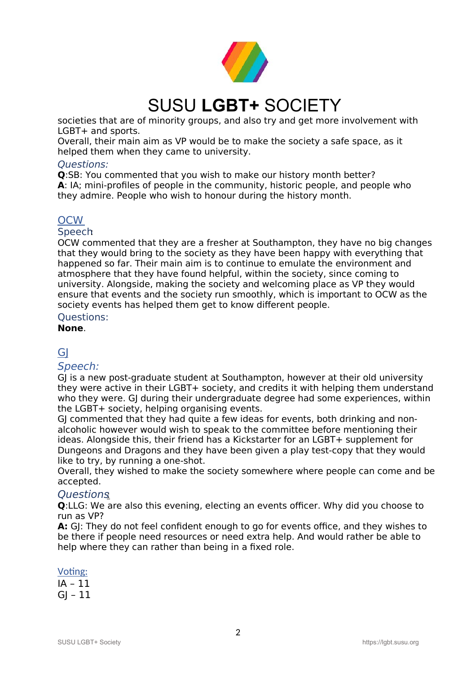

societies that are of minority groups, and also try and get more involvement with LGBT+ and sports.

Overall, their main aim as VP would be to make the society a safe space, as it helped them when they came to university.

#### Questions:

**Q**:SB: You commented that you wish to make our history month better? **A**: IA; mini-profiles of people in the community, historic people, and people who they admire. People who wish to honour during the history month.

### **OCW**

#### Speech:

OCW commented that they are a fresher at Southampton, they have no big changes that they would bring to the society as they have been happy with everything that happened so far. Their main aim is to continue to emulate the environment and atmosphere that they have found helpful, within the society, since coming to university. Alongside, making the society and welcoming place as VP they would ensure that events and the society run smoothly, which is important to OCW as the society events has helped them get to know different people.

#### Questions:

**None**.

## GI

### Speech:

GJ is a new post-graduate student at Southampton, however at their old university they were active in their LGBT+ society, and credits it with helping them understand who they were. GJ during their undergraduate degree had some experiences, within the LGBT+ society, helping organising events.

GJ commented that they had quite a few ideas for events, both drinking and nonalcoholic however would wish to speak to the committee before mentioning their ideas. Alongside this, their friend has a Kickstarter for an LGBT+ supplement for Dungeons and Dragons and they have been given a play test-copy that they would like to try, by running a one-shot.

Overall, they wished to make the society somewhere where people can come and be accepted.

### Questions:

**Q**:LLG: We are also this evening, electing an events officer. Why did you choose to run as VP?

**A:** GJ: They do not feel confident enough to go for events office, and they wishes to be there if people need resources or need extra help. And would rather be able to help where they can rather than being in a fixed role.

#### Voting:

IA – 11  $GI - 11$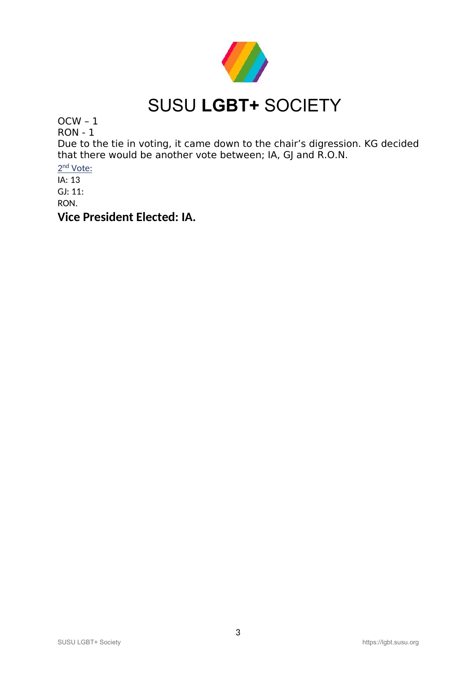

OCW – 1

RON - 1

Due to the tie in voting, it came down to the chair's digression. KG decided that there would be another vote between; IA, GJ and R.O.N.

2<sup>nd</sup> Vote:

IA: 13 GJ: 11:

RON.

**Vice President Elected: IA.**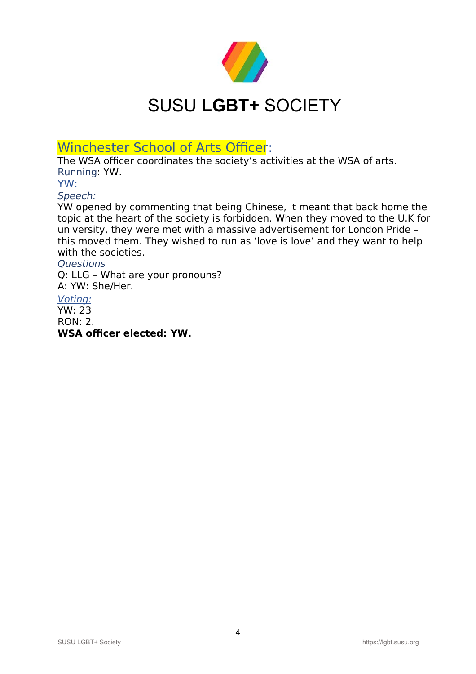

Winchester School of Arts Officer:

The WSA officer coordinates the society's activities at the WSA of arts. Running: YW.

YW:

Speech:

YW opened by commenting that being Chinese, it meant that back home the topic at the heart of the society is forbidden. When they moved to the U.K for university, they were met with a massive advertisement for London Pride – this moved them. They wished to run as 'love is love' and they want to help with the societies.

### **Ouestions**

Q: LLG – What are your pronouns? A: YW: She/Her.

## Voting:

YW: 23  $ROM·$  2. **WSA officer elected: YW.**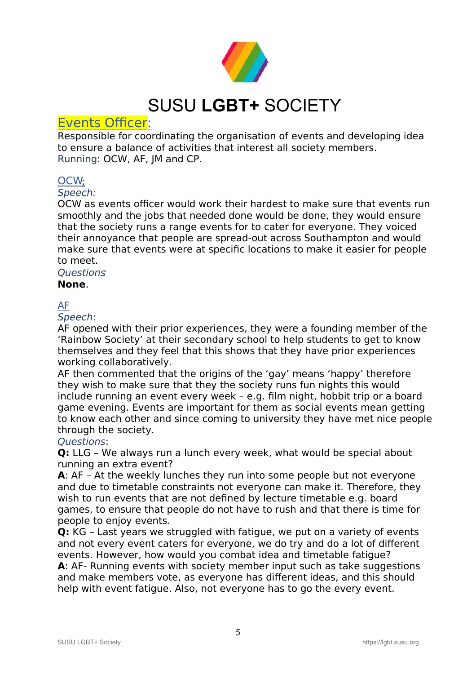

## Events Officer:

Responsible for coordinating the organisation of events and developing idea to ensure a balance of activities that interest all society members. Running: OCW, AF, JM and CP.

## OCW:

### Speech:

OCW as events officer would work their hardest to make sure that events run smoothly and the jobs that needed done would be done, they would ensure that the society runs a range events for to cater for everyone. They voiced their annoyance that people are spread-out across Southampton and would make sure that events were at specific locations to make it easier for people to meet.

## **Questions**

### **None**.

### AF

### Speech:

AF opened with their prior experiences, they were a founding member of the 'Rainbow Society' at their secondary school to help students to get to know themselves and they feel that this shows that they have prior experiences working collaboratively.

AF then commented that the origins of the 'gay' means 'happy' therefore they wish to make sure that they the society runs fun nights this would include running an event every week – e.g. film night, hobbit trip or a board game evening. Events are important for them as social events mean getting to know each other and since coming to university they have met nice people through the society.

## Questions:

**Q:** LLG – We always run a lunch every week, what would be special about running an extra event?

**A**: AF – At the weekly lunches they run into some people but not everyone and due to timetable constraints not everyone can make it. Therefore, they wish to run events that are not defined by lecture timetable e.g. board games, to ensure that people do not have to rush and that there is time for people to enjoy events.

**Q:** KG – Last years we struggled with fatigue, we put on a variety of events and not every event caters for everyone, we do try and do a lot of different events. However, how would you combat idea and timetable fatigue?

**A**: AF- Running events with society member input such as take suggestions and make members vote, as everyone has different ideas, and this should help with event fatigue. Also, not everyone has to go the every event.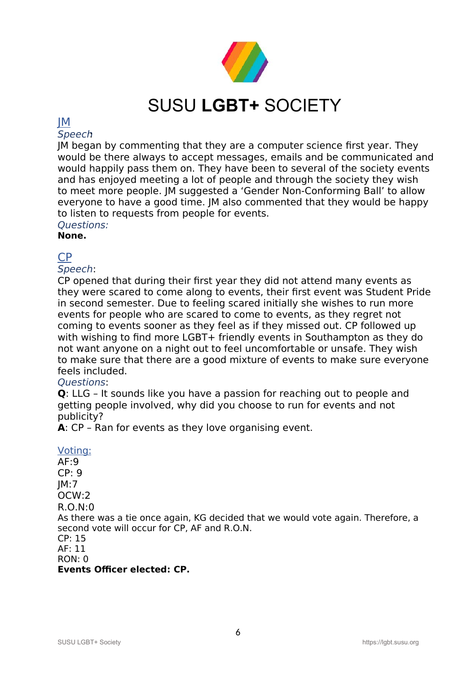

### JM

### **Speech**

JM began by commenting that they are a computer science first year. They would be there always to accept messages, emails and be communicated and would happily pass them on. They have been to several of the society events and has enjoyed meeting a lot of people and through the society they wish to meet more people. JM suggested a 'Gender Non-Conforming Ball' to allow everyone to have a good time. JM also commented that they would be happy to listen to requests from people for events.

Questions: **None.**

## CP

## Speech:

CP opened that during their first year they did not attend many events as they were scared to come along to events, their first event was Student Pride in second semester. Due to feeling scared initially she wishes to run more events for people who are scared to come to events, as they regret not coming to events sooner as they feel as if they missed out. CP followed up with wishing to find more LGBT+ friendly events in Southampton as they do not want anyone on a night out to feel uncomfortable or unsafe. They wish to make sure that there are a good mixture of events to make sure everyone feels included.

## Questions:

**Q**: LLG – It sounds like you have a passion for reaching out to people and getting people involved, why did you choose to run for events and not publicity?

**A**: CP – Ran for events as they love organising event.

### Voting:

AF:9 CP: 9 JM:7 OCW:2 R.O.N:0 As there was a tie once again, KG decided that we would vote again. Therefore, a second vote will occur for CP, AF and R.O.N. CP: 15 AF: 11 RON: 0 **Events Officer elected: CP.**